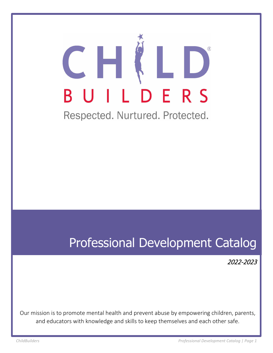# CH ILDERS U

Respected. Nurtured. Protected.

## Professional Development Catalog

2022-2023

Our mission is to promote mental health and prevent abuse by empowering children, parents, and educators with knowledge and skills to keep themselves and each other safe.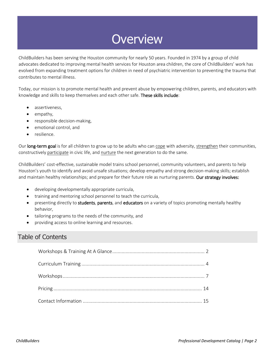## **Overview**

ChildBuilders has been serving the Houston community for nearly 50 years. Founded in 1974 by a group of child advocates dedicated to improving mental health services for Houston area children, the core of ChildBuilders' work has evolved from expanding treatment options for children in need of psychiatric intervention to preventing the trauma that contributes to mental illness.

Today, our mission is to promote mental health and prevent abuse by empowering children, parents, and educators with knowledge and skills to keep themselves and each other safe. These skills include:

- assertiveness,
- empathy,
- responsible decision-making,
- emotional control, and
- resilience.

Our long-term goal is for all children to grow up to be adults who can cope with adversity, strengthen their communities, constructively participate in civic life, and nurture the next generation to do the same.

ChildBuilders' cost-effective, sustainable model trains school personnel, community volunteers, and parents to help Houston's youth to identify and avoid unsafe situations; develop empathy and strong decision-making skills; establish and maintain healthy relationships; and prepare for their future role as nurturing parents. Our strategy involves:

- developing developmentally appropriate curricula,
- training and mentoring school personnel to teach the curricula,
- presenting directly to students, parents, and educators on a variety of topics promoting mentally healthy behavior,
- tailoring programs to the needs of the community, and
- providing access to online learning and resources.

### Table of Contents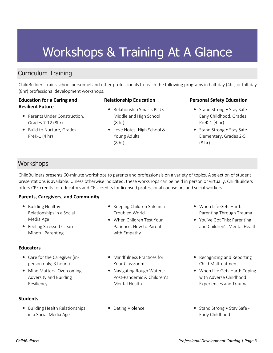## Workshops & Training At A Glance

## Curriculum Training

ChildBuilders trains school personnel and other professionals to teach the following programs in half-day (4hr) or full-day (8hr) professional development workshops.

#### **Education for a Caring and Resilient Future**

- Parents Under Construction. Grades 7-12 (8hr)
- Build to Nurture, Grades PreK-1 (4 hr)

#### **Relationship Education**

- Relationship Smarts PLUS, Middle and High School (8 hr)
- Love Notes, High School & Young Adults (8 hr)

#### **Personal Safety Education**

- Stand Strong Stay Safe Early Childhood, Grades PreK-1 (4 hr)
- Stand Strong Stay Safe Elementary, Grades 2-5 (8 hr)

### **Workshops**

ChildBuilders presents 60-minute workshops to parents and professionals on a variety of topics. A selection of student presentations is available. Unless otherwise indicated, these workshops can be held in person or virtually. ChildBuilders offers CPE credits for educators and CEU credits for licensed professional counselors and social workers.

#### **Parents, Caregivers, and Community**

- Building Healthy Relationships in a Social Media Age
- Feeling Stressed? Learn Mindful Parenting

#### **Educators**

- Care for the Caregiver (inperson only; 3 hours)
- Mind Matters: Overcoming Adversity and Building Resiliency

#### **Students**

• Building Health Relationships in a Social Media Age

- Keeping Children Safe in a Troubled World
- When Children Test Your Patience: How to Parent with Empathy
- Mindfulness Practices for Your Classroom
- Navigating Rough Waters: Post-Pandemic & Children's Mental Health
- 
- When Life Gets Hard: Parenting Through Trauma
- You've Got This: Parenting and Children's Mental Health
- Recognizing and Reporting Child Maltreatment
- When Life Gets Hard: Coping with Adverse Childhood Experiences and Trauma
- Dating Violence Stand Strong Stay Safe -Early Childhood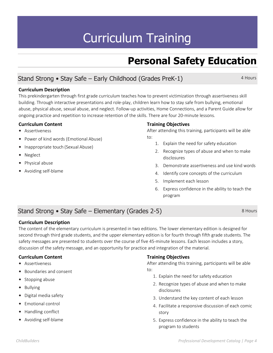## Curriculum Training

## **Personal Safety Education**

## Stand Strong • Stay Safe – Early Childhood (Grades PreK-1)

4 Hours

8 Hours

#### **Curriculum Description**

This prekindergarten through first grade curriculum teaches how to prevent victimization through assertiveness skill building. Through interactive presentations and role-play, children learn how to stay safe from bullying, emotional abuse, physical abuse, sexual abuse, and neglect. Follow-up activities, Home Connections, and a Parent Guide allow for ongoing practice and repetition to increase retention of the skills. There are four 20-minute lessons.

#### **Curriculum Content**

- Assertiveness
- Power of kind words (Emotional Abuse)
- Inappropriate touch (Sexual Abuse)
- Neglect
- Physical abuse
- Avoiding self-blame

#### **Training Objectives**

After attending this training, participants will be able to:

- 1. Explain the need for safety education
- 2. Recognize types of abuse and when to make disclosures
- 3. Demonstrate assertiveness and use kind words
- 4. Identify core concepts of the curriculum
- 5. Implement each lesson
- 6. Express confidence in the ability to teach the program

## Stand Strong • Stay Safe – Elementary (Grades 2-5)

#### **Curriculum Description**

The content of the elementary curriculum is presented in two editions. The lower elementary edition is designed for second through third grade students, and the upper elementary edition is for fourth through fifth grade students. The safety messages are presented to students over the course of five 45-minute lessons. Each lesson includes a story, discussion of the safety message, and an opportunity for practice and integration of the material.

#### **Curriculum Content**

- Assertiveness
- Boundaries and consent
- Stopping abuse
- Bullying
- Digital media safety
- Emotional control
- Handling conflict
- Avoiding self-blame

#### **Training Objectives**

After attending this training, participants will be able to:

- 1. Explain the need for safety education
- 2. Recognize types of abuse and when to make disclosures
- 3. Understand the key content of each lesson
- 4. Facilitate a responsive discussion of each comic story
- 5. Express confidence in the ability to teach the program to students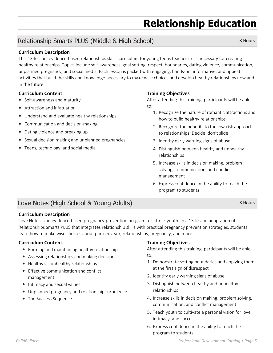## **Relationship Education**

## Relationship Smarts PLUS (Middle & High School)

#### **Curriculum Description**

This 13-lesson, evidence-based relationships skills curriculum for young teens teaches skills necessary for creating healthy relationships. Topics include self-awareness, goal setting, respect, boundaries, dating violence, communication, unplanned pregnancy, and social media. Each lesson is packed with engaging, hands-on, informative, and upbeat activities that build the skills and knowledge necessary to make wise choices and develop healthy relationships now and in the future.

#### **Curriculum Content**

- Self-awareness and maturity
- Attraction and infatuation
- Understand and evaluate healthy relationships
- Communication and decision-making
- Dating violence and breaking up
- Sexual decision making and unplanned pregnancies
- Teens, technology, and social media

#### **Training Objectives**

After attending this training, participants will be able to:

- 1. Recognize the nature of romantic attractions and how to build healthy relationships
- 2. Recognize the benefits to the low-risk approach to relationships: Decide, don't slide!
- 3. Identify early warning signs of abuse
- 4. Distinguish between healthy and unhealthy relationships
- 5. Increase skills in decision making, problem solving, communication, and conflict management
- 6. Express confidence in the ability to teach the program to students

## Love Notes (High School & Young Adults)

#### **Curriculum Description**

Love Notes is an evidence-based pregnancy-prevention program for at-risk youth. In a 13-lesson adaptation of Relationships Smarts PLUS that integrates relationship skills with practical pregnancy prevention strategies, students learn how to make wise choices about partners, sex, relationships, pregnancy, and more.

#### **Curriculum Content**

- Forming and maintaining healthy relationships
- Assessing relationships and making decisions
- Healthy vs. unhealthy relationships
- Effective communication and conflict management
- Intimacy and sexual values
- Unplanned pregnancy and relationship turbulence
- The Success Sequence

#### **Training Objectives**

After attending this training, participants will be able to:

- 1. Demonstrate setting boundaries and applying them at the first sign of disrespect
- 2. Identify early warning signs of abuse
- 3. Distinguish between healthy and unhealthy relationships
- 4. Increase skills in decision making, problem solving, communication, and conflict management
- 5. Teach youth to cultivate a personal vision for love, intimacy, and success
- 6. Express confidence in the ability to teach the program to students

8 Hours

8 Hours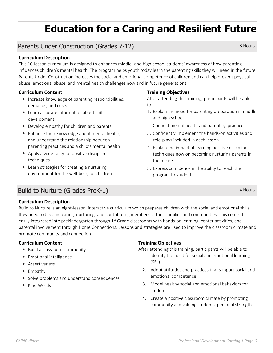## **Education for a Caring and Resilient Future**

## Parents Under Construction (Grades 7-12)

#### **Curriculum Description**

This 10-lesson curriculum is designed to enhances middle- and high-school students' awareness of how parenting influences children's mental health. The program helps youth today learn the parenting skills they will need in the future. Parents Under Construction increases the social and emotional competence of children and can help prevent physical abuse, emotional abuse, and mental health challenges now and in future generations.

#### **Curriculum Content**

- Increase knowledge of parenting responsibilities, demands, and costs
- Learn accurate information about child development
- Develop empathy for children and parents
- Enhance their knowledge about mental health, and understand the relationship between parenting practices and a child's mental health
- Apply a wide range of positive discipline techniques
- Learn strategies for creating a nurturing environment for the well-being of children

#### **Training Objectives**

After attending this training, participants will be able to:

- 1. Explain the need for parenting preparation in middle and high school
- 2. Connect mental health and parenting practices
- 3. Confidently implement the hands-on activities and role-plays included in each lesson
- 4. Explain the impact of learning positive discipline techniques now on becoming nurturing parents in the future
- 5. Express confidence in the ability to teach the program to students

4 Hours

### Build to Nurture (Grades PreK-1)

#### **Curriculum Description**

Build to Nurture is an eight-lesson, interactive curriculum which prepares children with the social and emotional skills they need to become caring, nurturing, and contributing members of their families and communities. This content is easily integrated into prekindergarten through 1<sup>st</sup> Grade classrooms with hands-on learning, center activities, and parental involvement through Home Connections. Lessons and strategies are used to improve the classroom climate and promote community and connection.

#### **Curriculum Content**

- Build a classroom community
- Emotional intelligence
- Assertiveness
- Empathy
- Solve problems and understand consequences
- Kind Words

#### **Training Objectives**

After attending this training, participants will be able to:

- 1. Identify the need for social and emotional learning (SEL)
- 2. Adopt attitudes and practices that support social and emotional competence
- 3. Model healthy social and emotional behaviors for students
- 4. Create a positive classroom climate by promoting community and valuing students' personal strengths

8 Hours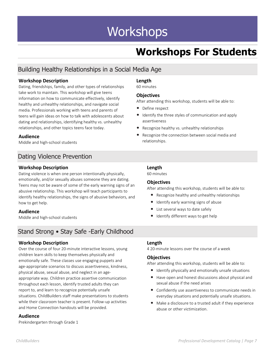## **Workshops**

## **Workshops For Students**

## Building Healthy Relationships in a Social Media Age

#### **Workshop Description**

Dating, friendships, family, and other types of relationships take work to maintain. This workshop will give teens information on how to communicate effectively, identify healthy and unhealthy relationships, and navigate social media. Professionals working with teens and parents of teens will gain ideas on how to talk with adolescents about dating and relationships, identifying healthy vs. unhealthy relationships, and other topics teens face today.

#### **Audience**

Middle and high-school students

## Dating Violence Prevention

#### **Workshop Description**

Dating violence is when one person intentionally physically, emotionally, and/or sexually abuses someone they are dating. Teens may not be aware of some of the early warning signs of an abusive relationship. This workshop will teach participants to identify healthy relationships, the signs of abusive behaviors, and how to get help.

#### **Audience**

Middle and high-school students

## Stand Strong • Stay Safe -Early Childhood

#### **Workshop Description**

Over the course of four 20-minute interactive lessons, young children learn skills to keep themselves physically and emotionally safe. These classes use engaging puppets and age-appropriate scenarios to discuss assertiveness, kindness, physical abuse, sexual abuse, and neglect in an ageappropriate way. Children practice assertive communication throughout each lesson, identify trusted adults they can report to, and learn to recognize potentially unsafe situations. ChildBuilders staff make presentations to students while their classroom teacher is present. Follow-up activities and Home Connection handouts will be provided.

#### **Audience**

Prekindergarten through Grade 1

#### **Length**

60 minutes

#### **Objectives**

After attending this workshop, students will be able to:

- Define respect
- Identify the three styles of communication and apply assertiveness
- Recognize healthy vs. unhealthy relationships
- Recognize the connection between social media and relationships.

#### **Length**

60 minutes

#### **Objectives**

After attending this workshop, students will be able to:

- Recognize healthy and unhealthy relationships
- Identify early warning signs of abuse
- List several ways to date safely
- Identify different ways to get help
- **Length**

4 20-minute lessons over the course of a week

#### **Objectives**

After attending this workshop, students will be able to:

- Identify physically and emotionally unsafe situations
- Have open and honest discussions about physical and sexual abuse if the need arises
- Confidently use assertiveness to communicate needs in everyday situations and potentially unsafe situations.
- Make a disclosure to a trusted adult if they experience abuse or other victimization.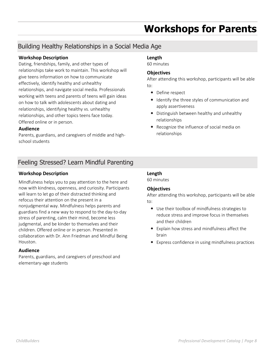## **Workshops for Parents**

## Building Healthy Relationships in a Social Media Age

#### **Workshop Description**

Dating, friendships, family, and other types of relationships take work to maintain. This workshop will give teens information on how to communicate effectively, identify healthy and unhealthy relationships, and navigate social media. Professionals working with teens and parents of teens will gain ideas on how to talk with adolescents about dating and relationships, identifying healthy vs. unhealthy relationships, and other topics teens face today. Offered online or in person.

#### **Audience**

Parents, guardians, and caregivers of middle and highschool students

## Feeling Stressed? Learn Mindful Parenting

#### **Workshop Description**

Mindfulness helps you to pay attention to the here and now with kindness, openness, and curiosity. Participants will learn to let go of their distracted thinking and refocus their attention on the present in a nonjudgmental way. Mindfulness helps parents and guardians find a new way to respond to the day-to-day stress of parenting, calm their mind, become less judgmental, and be kinder to themselves and their children. Offered online or in person. Presented in collaboration with Dr. Ann Friedman and Mindful Being Houston.

#### **Audience**

Parents, guardians, and caregivers of preschool and elementary-age students

### • Define respect

to:

**Length** 60 minutes

**Objectives**

• Identify the three styles of communication and apply assertiveness

After attending this workshop, participants will be able

- Distinguish between healthy and unhealthy relationships
- Recognize the influence of social media on relationships

#### **Length**

60 minutes

#### **Objectives**

- Use their toolbox of mindfulness strategies to reduce stress and improve focus in themselves and their children
- Explain how stress and mindfulness affect the brain
- Express confidence in using mindfulness practices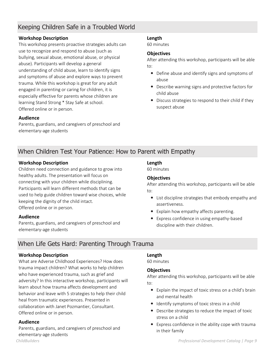### Keeping Children Safe in a Troubled World

#### **Workshop Description**

This workshop presents proactive strategies adults can use to recognize and respond to abuse (such as bullying, sexual abuse, emotional abuse, or physical abuse). Participants will develop a general understanding of child abuse, learn to identify signs and symptoms of abuse and explore ways to prevent trauma. While this workshop is great for any adult engaged in parenting or caring for children, it is especially effective for parents whose children are learning Stand Strong \* Stay Safe at school. Offered online or in person.

#### **Length**

60 minutes

#### **Objectives**

After attending this workshop, participants will be able to:

- Define abuse and identify signs and symptoms of abuse
- Describe warning signs and protective factors for child abuse
- Discuss strategies to respond to their child if they suspect abuse

#### **Audience**

Parents, guardians, and caregivers of preschool and elementary-age students

## When Children Test Your Patience: How to Parent with Empathy

#### **Workshop Description**

Children need connection and guidance to grow into healthy adults. The presentation will focus on connecting with your children while disciplining. Participants will learn different methods that can be used to help guide children toward wise choices, while keeping the dignity of the child intact. Offered online or in person.

#### **Audience**

Parents, guardians, and caregivers of preschool and elementary-age students

## When Life Gets Hard: Parenting Through Trauma

#### **Workshop Description**

What are Adverse Childhood Experiences? How does trauma impact children? What works to help children who have experienced trauma, such as grief and adversity? In this interactive workshop, participants will learn about how trauma affects development and behavior and leave with 5 strategies to help their child heal from traumatic experiences. Presented in collaboration with Janet Pozmantier, Consultant. Offered online or in person.

#### **Audience**

*ChildBuilders Professional Development Catalog | Page 9*  Parents, guardians, and caregivers of preschool and elementary-age students

#### **Length** 60 minutes

#### **Objectives**

After attending this workshop, participants will be able to:

- List discipline strategies that embody empathy and assertiveness.
- Explain how empathy affects parenting.
- Express confidence in using empathy-based discipline with their children.

#### **Length**

60 minutes

#### **Objectives**

- Explain the impact of toxic stress on a child's brain and mental health
- Identify symptoms of toxic stress in a child
- Describe strategies to reduce the impact of toxic stress on a child
- Express confidence in the ability cope with trauma in their family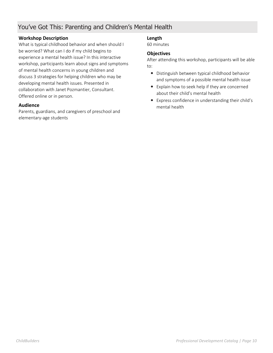### You've Got This: Parenting and Children's Mental Health

#### **Workshop Description**

What is typical childhood behavior and when should I be worried? What can I do if my child begins to experience a mental health issue? In this interactive workshop, participants learn about signs and symptoms of mental health concerns in young children and discuss 3 strategies for helping children who may be developing mental health issues. Presented in collaboration with Janet Pozmantier, Consultant. Offered online or in person.

#### **Audience**

Parents, guardians, and caregivers of preschool and elementary-age students

#### **Length**

60 minutes

#### **Objectives**

- Distinguish between typical childhood behavior and symptoms of a possible mental health issue
- Explain how to seek help if they are concerned about their child's mental health
- Express confidence in understanding their child's mental health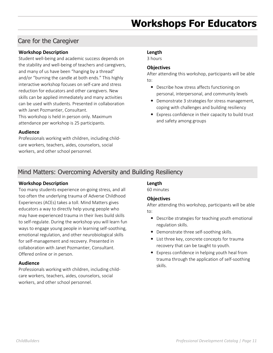## **Workshops For Educators**

### Care for the Caregiver

#### **Workshop Description**

Student well-being and academic success depends on the stability and well-being of teachers and caregivers, and many of us have been "hanging by a thread" and/or "burning the candle at both ends." This highly interactive workshop focuses on self-care and stress reduction for educators and other caregivers. New skills can be applied immediately and many activities can be used with students. Presented in collaboration with Janet Pozmantier, Consultant.

This workshop is held in person only. Maximum attendance per workshop is 25 participants.

#### **Audience**

Professionals working with children, including childcare workers, teachers, aides, counselors, social workers, and other school personnel.

#### **Length**

3 hours

#### **Objectives**

After attending this workshop, participants will be able to:

- Describe how stress affects functioning on personal, interpersonal, and community levels
- Demonstrate 3 strategies for stress management, coping with challenges and building resiliency
- Express confidence in their capacity to build trust and safety among groups

### Mind Matters: Overcoming Adversity and Building Resiliency

#### **Workshop Description**

Too many students experience on-going stress, and all too often the underlying trauma of Adverse Childhood Experiences (ACEs) takes a toll. Mind Matters gives educators a way to directly help young people who may have experienced trauma in their lives build skills to self-regulate. During the workshop you will learn fun ways to engage young people in learning self-soothing, emotional regulation, and other neurobiological skills for self-management and recovery. Presented in collaboration with Janet Pozmantier, Consultant. Offered online or in person.

#### **Audience**

Professionals working with children, including childcare workers, teachers, aides, counselors, social workers, and other school personnel.

#### **Length**

60 minutes

#### **Objectives**

- Describe strategies for teaching youth emotional regulation skills.
- Demonstrate three self-soothing skills.
- List three key, concrete concepts for trauma recovery that can be taught to youth.
- Express confidence in helping youth heal from trauma through the application of self-soothing skills.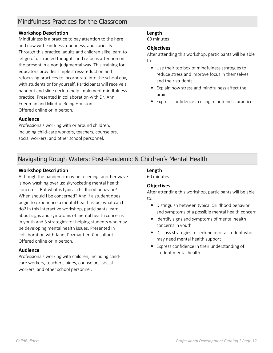### Mindfulness Practices for the Classroom

#### **Workshop Description**

Mindfulness is a practice to pay attention to the here and now with kindness, openness, and curiosity. Through this practice, adults and children alike learn to let go of distracted thoughts and refocus attention on the present in a non-judgmental way. This training for educators provides simple stress-reduction and refocusing practices to incorporate into the school day, with students or for yourself. Participants will receive a handout and slide deck to help implement mindfulness practice. Presented in collaboration with Dr. Ann Friedman and Mindful Being Houston. Offered online or in person.

#### **Length**

60 minutes

#### **Objectives**

After attending this workshop, participants will be able to:

- Use their toolbox of mindfulness strategies to reduce stress and improve focus in themselves and their students
- Explain how stress and mindfulness affect the brain
- Express confidence in using mindfulness practices

#### **Audience**

Professionals working with or around children, including child-care workers, teachers, counselors, social workers, and other school personnel.

### Navigating Rough Waters: Post-Pandemic & Children's Mental Health

#### **Workshop Description**

Although the pandemic may be receding, another wave is now washing over us: skyrocketing mental health concerns. But what is typical childhood behavior? When should I be concerned? And if a student does begin to experience a mental health issue, what can I do? In this interactive workshop, participants learn about signs and symptoms of mental health concerns in youth and 3 strategies for helping students who may be developing mental health issues. Presented in collaboration with Janet Pozmantier, Consultant. Offered online or in person.

#### **Audience**

Professionals working with children, including childcare workers, teachers, aides, counselors, social workers, and other school personnel.

#### **Length**

60 minutes

#### **Objectives**

- Distinguish between typical childhood behavior and symptoms of a possible mental health concern
- Identify signs and symptoms of mental health concerns in youth
- Discuss strategies to seek help for a student who may need mental health support
- Express confidence in their understanding of student mental health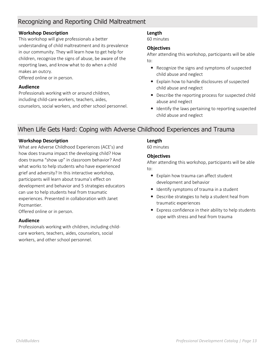## Recognizing and Reporting Child Maltreatment

#### **Workshop Description**

This workshop will give professionals a better understanding of child maltreatment and its prevalence in our community. They will learn how to get help for children, recognize the signs of abuse, be aware of the reporting laws, and know what to do when a child makes an outcry.

Offered online or in person.

#### **Audience**

Professionals working with or around children, including child-care workers, teachers, aides, counselors, social workers, and other school personnel.

#### **Length**

60 minutes

#### **Objectives**

After attending this workshop, participants will be able to:

- Recognize the signs and symptoms of suspected child abuse and neglect
- Explain how to handle disclosures of suspected child abuse and neglect
- Describe the reporting process for suspected child abuse and neglect
- Identify the laws pertaining to reporting suspected child abuse and neglect

### When Life Gets Hard: Coping with Adverse Childhood Experiences and Trauma

#### **Workshop Description**

What are Adverse Childhood Experiences (ACE's) and how does trauma impact the developing child? How does trauma "show up" in classroom behavior? And what works to help students who have experienced grief and adversity? In this interactive workshop, participants will learn about trauma's effect on development and behavior and 5 strategies educators can use to help students heal from traumatic experiences. Presented in collaboration with Janet Pozmantier.

Offered online or in person.

#### **Audience**

Professionals working with children, including childcare workers, teachers, aides, counselors, social workers, and other school personnel.

#### **Length**

60 minutes

#### **Objectives**

- Explain how trauma can affect student development and behavior
- Identify symptoms of trauma in a student
- Describe strategies to help a student heal from traumatic experiences
- Express confidence in their ability to help students cope with stress and heal from trauma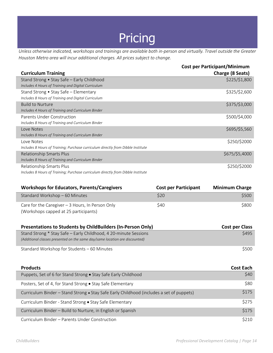## Pricing

*Unless otherwise indicated, workshops and trainings are available both in-person and virtually. Travel outside the Greater Houston Metro area will incur additional charges. All prices subject to change.*

|                                                                                  | <b>Cost per Participant/Minimum</b> |
|----------------------------------------------------------------------------------|-------------------------------------|
| <b>Curriculum Training</b>                                                       | Charge (8 Seats)                    |
| Stand Strong • Stay Safe - Early Childhood                                       | \$225/\$1,800                       |
| Includes 4 Hours of Training and Digital Curriculum                              |                                     |
| Stand Strong • Stay Safe – Elementary                                            | \$325/\$2,600                       |
| Includes 8 Hours of Training and Digital Curriculum                              |                                     |
| <b>Build to Nurture</b>                                                          | \$375/\$3,000                       |
| Includes 4 Hours of Training and Curriculum Binder                               |                                     |
| Parents Under Construction                                                       | \$500/\$4,000                       |
| Includes 8 Hours of Training and Curriculum Binder                               |                                     |
| Love Notes                                                                       | \$695/\$5,560                       |
| Includes 8 Hours of Training and Curriculum Binder                               |                                     |
| Love Notes                                                                       | \$250/\$2000                        |
| Includes 8 Hours of Training; Purchase curriculum directly from Dibble Institute |                                     |
| <b>Relationship Smarts Plus</b>                                                  | \$675/\$5,4000                      |
| Includes 8 Hours of Training and Curriculum Binder                               |                                     |
| Relationship Smarts Plus                                                         | \$250/\$2000                        |
| Includes 8 Hours of Training; Purchase curriculum directly from Dibble Institute |                                     |

| <b>Workshops for Educators, Parents/Caregivers</b> | <b>Cost per Participant</b> | <b>Minimum Charge</b> |
|----------------------------------------------------|-----------------------------|-----------------------|
| Standard Workshop - 60 Minutes                     | <b>S20</b>                  | <b>S500</b>           |
| Care for the Caregiver $-3$ Hours, In Person Only  | S40                         | \$800                 |
| (Workshops capped at 25 participants)              |                             |                       |

| Presentations to Students by ChildBuilders (In-Person Only)                 | Cost per Class |
|-----------------------------------------------------------------------------|----------------|
| Stand Strong * Stay Safe – Early Childhood, 4 20-minute Sessions            | \$495          |
| (Additional classes presented on the same day/same location are discounted) |                |
| Standard Workshop for Students - 60 Minutes                                 | \$500          |

| <b>Products</b>                                                                          | <b>Cost Each</b> |
|------------------------------------------------------------------------------------------|------------------|
| Puppets, Set of 6 for Stand Strong • Stay Safe Early Childhood                           | \$40             |
| Posters, Set of 4, for Stand Strong • Stay Safe Elementary                               | \$80             |
| Curriculum Binder – Stand Strong • Stay Safe Early Childhood (includes a set of puppets) | \$175            |
| Curriculum Binder - Stand Strong • Stay Safe Elementary                                  | \$275            |
| Curriculum Binder – Build to Nurture, in English or Spanish                              | \$175            |
| Curriculum Binder – Parents Under Construction                                           | \$210            |